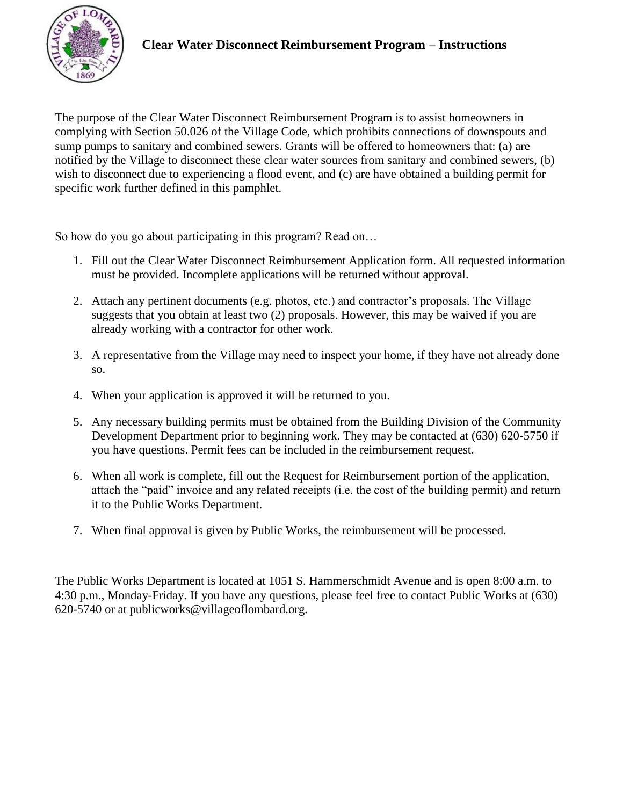

The purpose of the Clear Water Disconnect Reimbursement Program is to assist homeowners in complying with Section 50.026 of the Village Code, which prohibits connections of downspouts and sump pumps to sanitary and combined sewers. Grants will be offered to homeowners that: (a) are notified by the Village to disconnect these clear water sources from sanitary and combined sewers, (b) wish to disconnect due to experiencing a flood event, and (c) are have obtained a building permit for specific work further defined in this pamphlet.

So how do you go about participating in this program? Read on…

- 1. Fill out the Clear Water Disconnect Reimbursement Application form. All requested information must be provided. Incomplete applications will be returned without approval.
- 2. Attach any pertinent documents (e.g. photos, etc.) and contractor's proposals. The Village suggests that you obtain at least two (2) proposals. However, this may be waived if you are already working with a contractor for other work.
- 3. A representative from the Village may need to inspect your home, if they have not already done so.
- 4. When your application is approved it will be returned to you.
- 5. Any necessary building permits must be obtained from the Building Division of the Community Development Department prior to beginning work. They may be contacted at (630) 620-5750 if you have questions. Permit fees can be included in the reimbursement request.
- 6. When all work is complete, fill out the Request for Reimbursement portion of the application, attach the "paid" invoice and any related receipts (i.e. the cost of the building permit) and return it to the Public Works Department.
- 7. When final approval is given by Public Works, the reimbursement will be processed.

The Public Works Department is located at 1051 S. Hammerschmidt Avenue and is open 8:00 a.m. to 4:30 p.m., Monday-Friday. If you have any questions, please feel free to contact Public Works at (630) 620-5740 or at publicworks@villageoflombard.org.